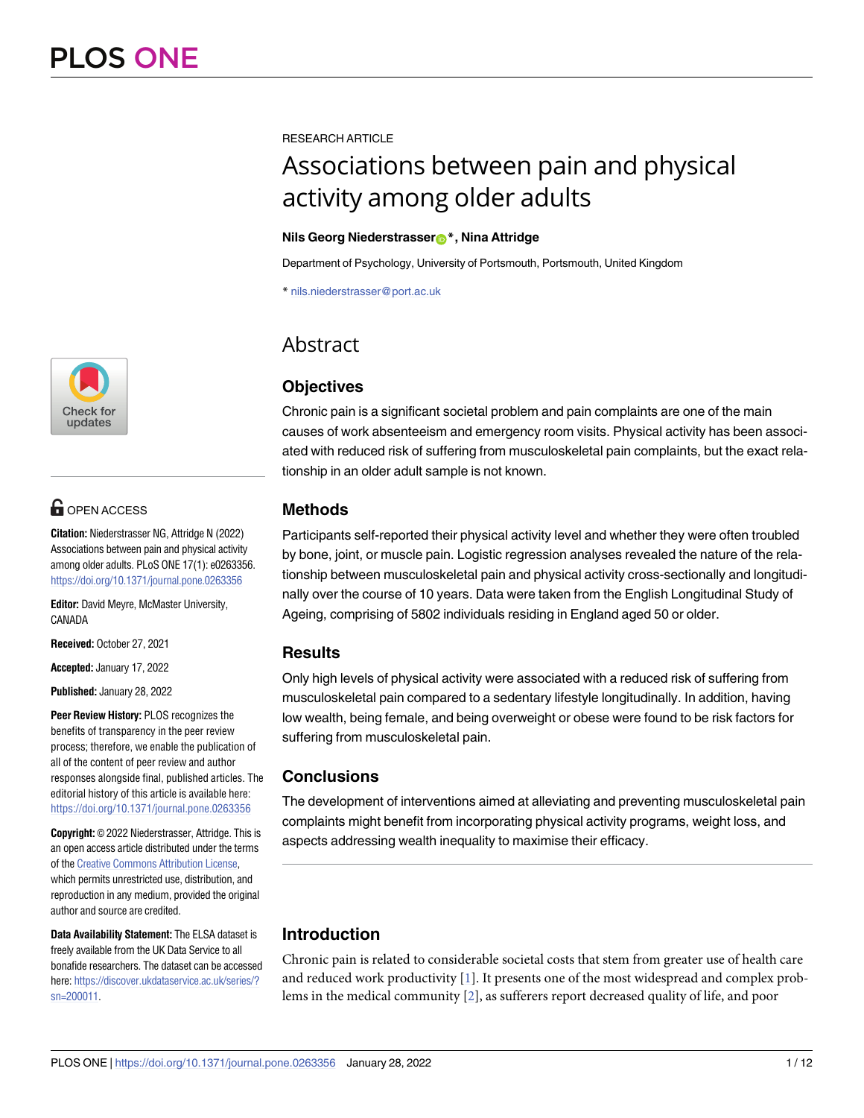

## $\blacksquare$  OPEN ACCESS

**Citation:** Niederstrasser NG, Attridge N (2022) Associations between pain and physical activity among older adults. PLoS ONE 17(1): e0263356. <https://doi.org/10.1371/journal.pone.0263356>

**Editor:** David Meyre, McMaster University, CANADA

**Received:** October 27, 2021

**Accepted:** January 17, 2022

**Published:** January 28, 2022

**Peer Review History:** PLOS recognizes the benefits of transparency in the peer review process; therefore, we enable the publication of all of the content of peer review and author responses alongside final, published articles. The editorial history of this article is available here: <https://doi.org/10.1371/journal.pone.0263356>

**Copyright:** © 2022 Niederstrasser, Attridge. This is an open access article distributed under the terms of the Creative [Commons](http://creativecommons.org/licenses/by/4.0/) Attribution License, which permits unrestricted use, distribution, and reproduction in any medium, provided the original author and source are credited.

**Data Availability Statement:** The ELSA dataset is freely available from the UK Data Service to all bonafide researchers. The dataset can be accessed here: [https://discover.ukdataservice.ac.uk/series/?](https://discover.ukdataservice.ac.uk/series/?sn=200011) [sn=200011.](https://discover.ukdataservice.ac.uk/series/?sn=200011)

<span id="page-0-0"></span>RESEARCH ARTICLE

# Associations between pain and physical activity among older adults

#### **Nils Georg Niederstrasser[ID](https://orcid.org/0000-0002-6605-2896)\*, Nina Attridge**

Department of Psychology, University of Portsmouth, Portsmouth, United Kingdom

\* nils.niederstrasser@port.ac.uk

### Abstract

### **Objectives**

Chronic pain is a significant societal problem and pain complaints are one of the main causes of work absenteeism and emergency room visits. Physical activity has been associated with reduced risk of suffering from musculoskeletal pain complaints, but the exact relationship in an older adult sample is not known.

#### **Methods**

Participants self-reported their physical activity level and whether they were often troubled by bone, joint, or muscle pain. Logistic regression analyses revealed the nature of the relationship between musculoskeletal pain and physical activity cross-sectionally and longitudinally over the course of 10 years. Data were taken from the English Longitudinal Study of Ageing, comprising of 5802 individuals residing in England aged 50 or older.

#### **Results**

Only high levels of physical activity were associated with a reduced risk of suffering from musculoskeletal pain compared to a sedentary lifestyle longitudinally. In addition, having low wealth, being female, and being overweight or obese were found to be risk factors for suffering from musculoskeletal pain.

#### **Conclusions**

The development of interventions aimed at alleviating and preventing musculoskeletal pain complaints might benefit from incorporating physical activity programs, weight loss, and aspects addressing wealth inequality to maximise their efficacy.

### **Introduction**

Chronic pain is related to considerable societal costs that stem from greater use of health care and reduced work productivity [\[1](#page-9-0)]. It presents one of the most widespread and complex problems in the medical community [[2](#page-9-0)], as sufferers report decreased quality of life, and poor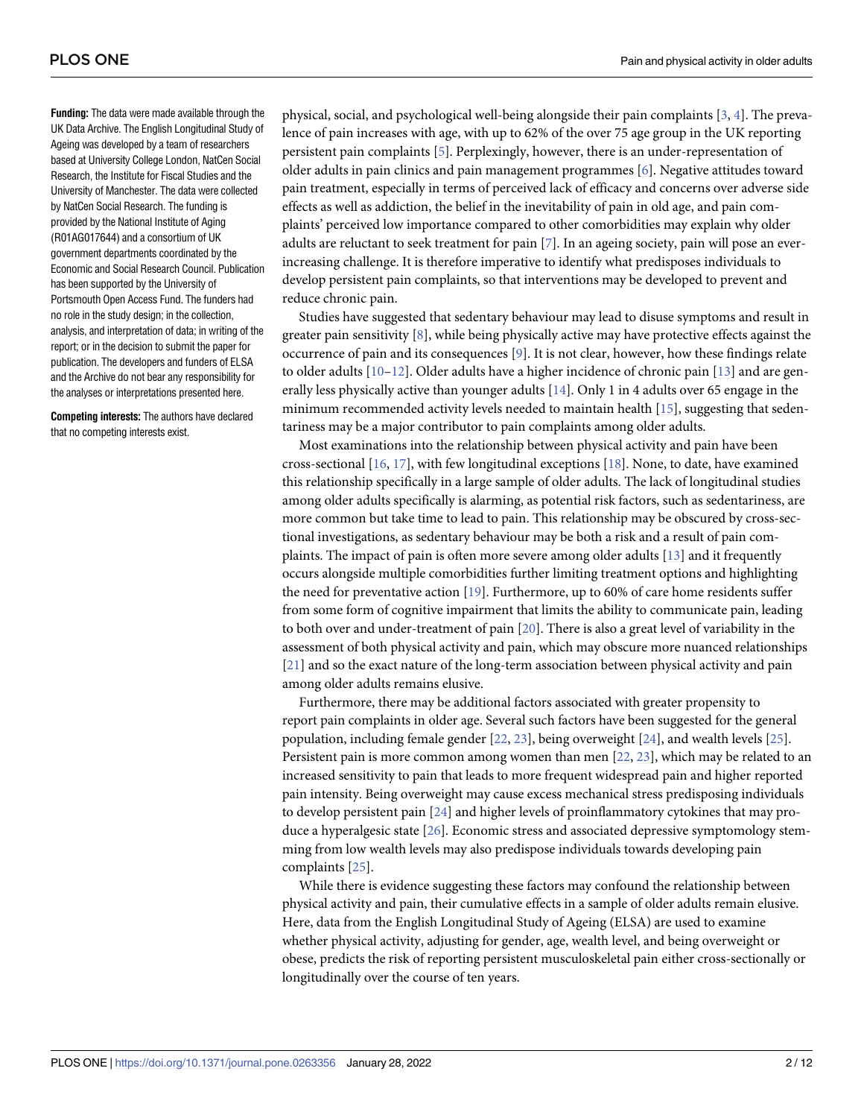<span id="page-1-0"></span>**Funding:** The data were made available through the UK Data Archive. The English Longitudinal Study of Ageing was developed by a team of researchers based at University College London, NatCen Social Research, the Institute for Fiscal Studies and the University of Manchester. The data were collected by NatCen Social Research. The funding is provided by the National Institute of Aging (R01AG017644) and a consortium of UK government departments coordinated by the Economic and Social Research Council. Publication has been supported by the University of Portsmouth Open Access Fund. The funders had no role in the study design; in the collection, analysis, and interpretation of data; in writing of the report; or in the decision to submit the paper for publication. The developers and funders of ELSA and the Archive do not bear any responsibility for the analyses or interpretations presented here.

**Competing interests:** The authors have declared that no competing interests exist.

physical, social, and psychological well-being alongside their pain complaints [[3,](#page-9-0) [4\]](#page-9-0). The prevalence of pain increases with age, with up to 62% of the over 75 age group in the UK reporting persistent pain complaints [[5](#page-9-0)]. Perplexingly, however, there is an under-representation of older adults in pain clinics and pain management programmes [[6\]](#page-9-0). Negative attitudes toward pain treatment, especially in terms of perceived lack of efficacy and concerns over adverse side effects as well as addiction, the belief in the inevitability of pain in old age, and pain complaints' perceived low importance compared to other comorbidities may explain why older adults are reluctant to seek treatment for pain [[7](#page-9-0)]. In an ageing society, pain will pose an everincreasing challenge. It is therefore imperative to identify what predisposes individuals to develop persistent pain complaints, so that interventions may be developed to prevent and reduce chronic pain.

Studies have suggested that sedentary behaviour may lead to disuse symptoms and result in greater pain sensitivity  $[8]$  $[8]$  $[8]$ , while being physically active may have protective effects against the occurrence of pain and its consequences [[9\]](#page-9-0). It is not clear, however, how these findings relate to older adults  $[10-12]$ . Older adults have a higher incidence of chronic pain  $[13]$  $[13]$  $[13]$  and are generally less physically active than younger adults [[14](#page-10-0)]. Only 1 in 4 adults over 65 engage in the minimum recommended activity levels needed to maintain health [[15](#page-10-0)], suggesting that sedentariness may be a major contributor to pain complaints among older adults.

Most examinations into the relationship between physical activity and pain have been cross-sectional [\[16,](#page-10-0) [17\]](#page-10-0), with few longitudinal exceptions [[18](#page-10-0)]. None, to date, have examined this relationship specifically in a large sample of older adults. The lack of longitudinal studies among older adults specifically is alarming, as potential risk factors, such as sedentariness, are more common but take time to lead to pain. This relationship may be obscured by cross-sectional investigations, as sedentary behaviour may be both a risk and a result of pain complaints. The impact of pain is often more severe among older adults [[13](#page-10-0)] and it frequently occurs alongside multiple comorbidities further limiting treatment options and highlighting the need for preventative action [[19](#page-10-0)]. Furthermore, up to 60% of care home residents suffer from some form of cognitive impairment that limits the ability to communicate pain, leading to both over and under-treatment of pain [\[20\]](#page-10-0). There is also a great level of variability in the assessment of both physical activity and pain, which may obscure more nuanced relationships [\[21\]](#page-10-0) and so the exact nature of the long-term association between physical activity and pain among older adults remains elusive.

Furthermore, there may be additional factors associated with greater propensity to report pain complaints in older age. Several such factors have been suggested for the general population, including female gender [\[22,](#page-10-0) [23\]](#page-10-0), being overweight [[24](#page-10-0)], and wealth levels [[25](#page-10-0)]. Persistent pain is more common among women than men [\[22,](#page-10-0) [23\]](#page-10-0), which may be related to an increased sensitivity to pain that leads to more frequent widespread pain and higher reported pain intensity. Being overweight may cause excess mechanical stress predisposing individuals to develop persistent pain [[24](#page-10-0)] and higher levels of proinflammatory cytokines that may produce a hyperalgesic state [[26](#page-10-0)]. Economic stress and associated depressive symptomology stemming from low wealth levels may also predispose individuals towards developing pain complaints [[25](#page-10-0)].

While there is evidence suggesting these factors may confound the relationship between physical activity and pain, their cumulative effects in a sample of older adults remain elusive. Here, data from the English Longitudinal Study of Ageing (ELSA) are used to examine whether physical activity, adjusting for gender, age, wealth level, and being overweight or obese, predicts the risk of reporting persistent musculoskeletal pain either cross-sectionally or longitudinally over the course of ten years.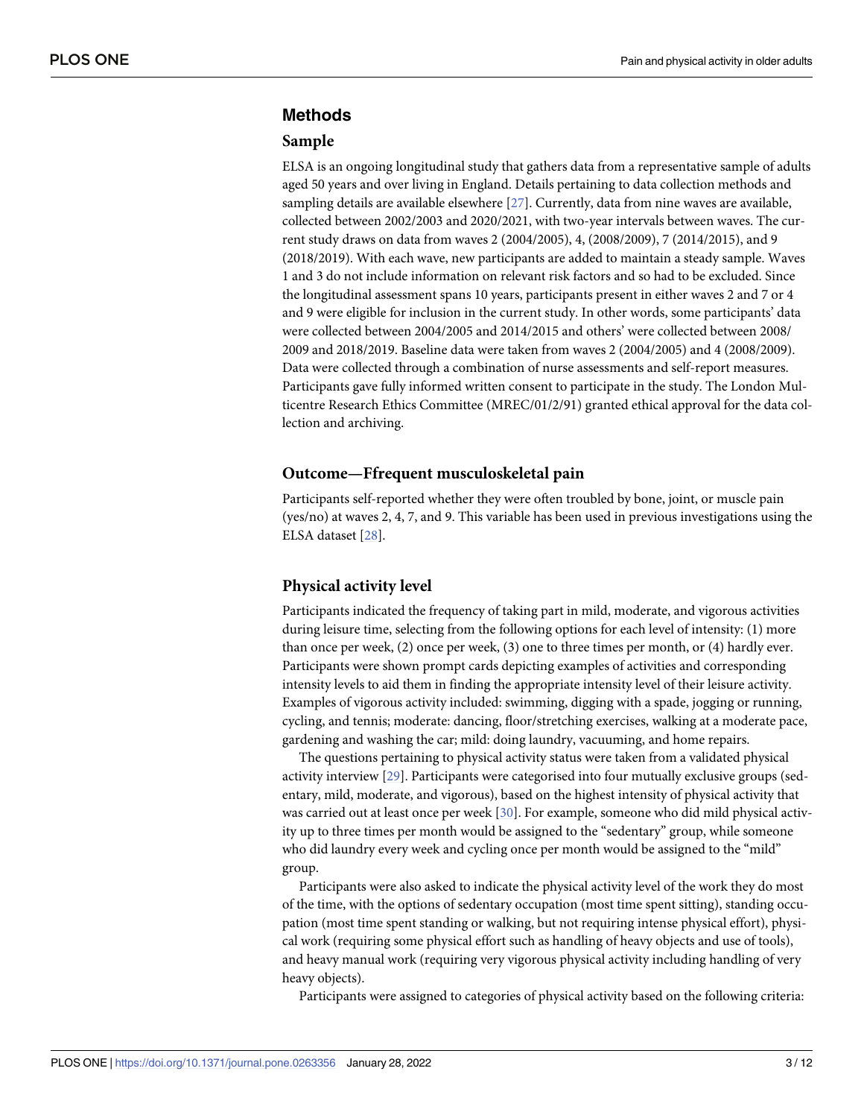#### <span id="page-2-0"></span>**Methods**

#### **Sample**

ELSA is an ongoing longitudinal study that gathers data from a representative sample of adults aged 50 years and over living in England. Details pertaining to data collection methods and sampling details are available elsewhere [\[27\]](#page-10-0). Currently, data from nine waves are available, collected between 2002/2003 and 2020/2021, with two-year intervals between waves. The current study draws on data from waves 2 (2004/2005), 4, (2008/2009), 7 (2014/2015), and 9 (2018/2019). With each wave, new participants are added to maintain a steady sample. Waves 1 and 3 do not include information on relevant risk factors and so had to be excluded. Since the longitudinal assessment spans 10 years, participants present in either waves 2 and 7 or 4 and 9 were eligible for inclusion in the current study. In other words, some participants' data were collected between 2004/2005 and 2014/2015 and others' were collected between 2008/ 2009 and 2018/2019. Baseline data were taken from waves 2 (2004/2005) and 4 (2008/2009). Data were collected through a combination of nurse assessments and self-report measures. Participants gave fully informed written consent to participate in the study. The London Multicentre Research Ethics Committee (MREC/01/2/91) granted ethical approval for the data collection and archiving.

#### **Outcome—Ffrequent musculoskeletal pain**

Participants self-reported whether they were often troubled by bone, joint, or muscle pain (yes/no) at waves 2, 4, 7, and 9. This variable has been used in previous investigations using the ELSA dataset [\[28\]](#page-10-0).

#### **Physical activity level**

Participants indicated the frequency of taking part in mild, moderate, and vigorous activities during leisure time, selecting from the following options for each level of intensity: (1) more than once per week, (2) once per week, (3) one to three times per month, or (4) hardly ever. Participants were shown prompt cards depicting examples of activities and corresponding intensity levels to aid them in finding the appropriate intensity level of their leisure activity. Examples of vigorous activity included: swimming, digging with a spade, jogging or running, cycling, and tennis; moderate: dancing, floor/stretching exercises, walking at a moderate pace, gardening and washing the car; mild: doing laundry, vacuuming, and home repairs.

The questions pertaining to physical activity status were taken from a validated physical activity interview [\[29\]](#page-10-0). Participants were categorised into four mutually exclusive groups (sedentary, mild, moderate, and vigorous), based on the highest intensity of physical activity that was carried out at least once per week [\[30\]](#page-11-0). For example, someone who did mild physical activity up to three times per month would be assigned to the "sedentary" group, while someone who did laundry every week and cycling once per month would be assigned to the "mild" group.

Participants were also asked to indicate the physical activity level of the work they do most of the time, with the options of sedentary occupation (most time spent sitting), standing occupation (most time spent standing or walking, but not requiring intense physical effort), physical work (requiring some physical effort such as handling of heavy objects and use of tools), and heavy manual work (requiring very vigorous physical activity including handling of very heavy objects).

Participants were assigned to categories of physical activity based on the following criteria: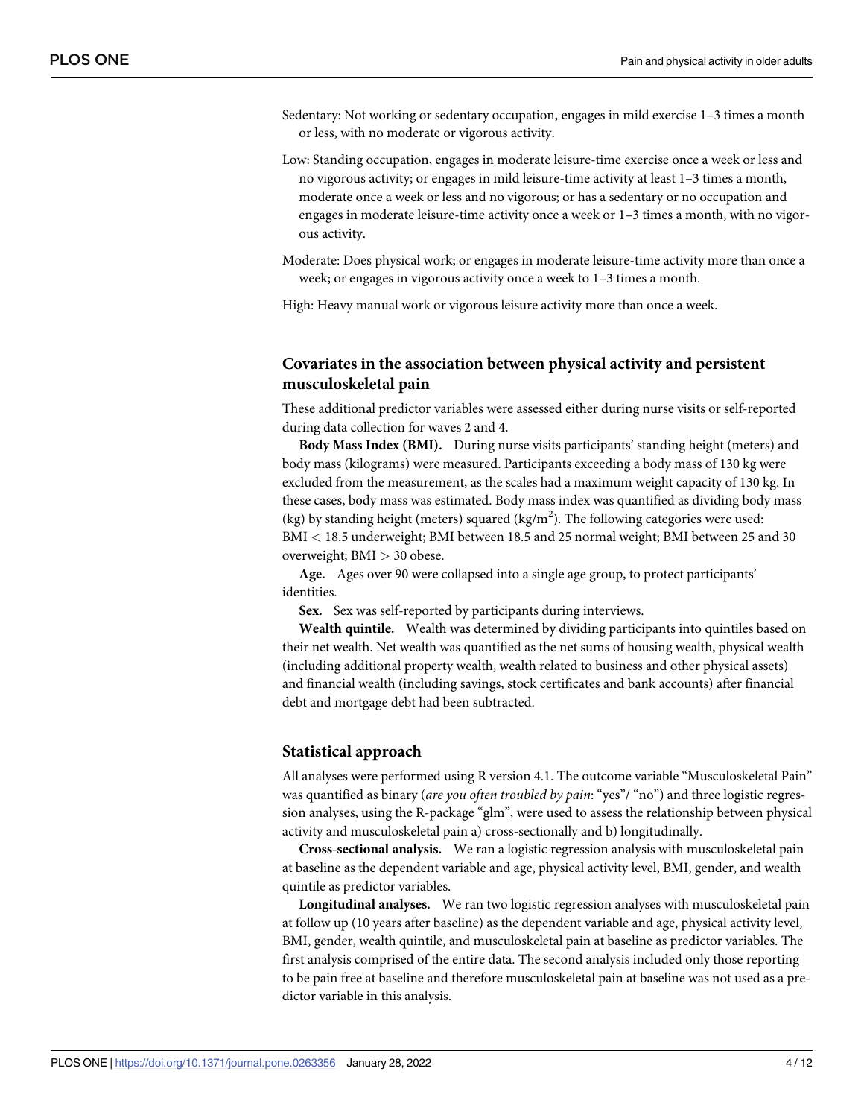- Sedentary: Not working or sedentary occupation, engages in mild exercise 1–3 times a month or less, with no moderate or vigorous activity.
- Low: Standing occupation, engages in moderate leisure-time exercise once a week or less and no vigorous activity; or engages in mild leisure-time activity at least 1–3 times a month, moderate once a week or less and no vigorous; or has a sedentary or no occupation and engages in moderate leisure-time activity once a week or 1–3 times a month, with no vigorous activity.
- Moderate: Does physical work; or engages in moderate leisure-time activity more than once a week; or engages in vigorous activity once a week to 1–3 times a month.

High: Heavy manual work or vigorous leisure activity more than once a week.

#### **Covariates in the association between physical activity and persistent musculoskeletal pain**

These additional predictor variables were assessed either during nurse visits or self-reported during data collection for waves 2 and 4.

**Body Mass Index (BMI).** During nurse visits participants' standing height (meters) and body mass (kilograms) were measured. Participants exceeding a body mass of 130 kg were excluded from the measurement, as the scales had a maximum weight capacity of 130 kg. In these cases, body mass was estimated. Body mass index was quantified as dividing body mass (kg) by standing height (meters) squared (kg/m<sup>2</sup>). The following categories were used: BMI *<* 18.5 underweight; BMI between 18.5 and 25 normal weight; BMI between 25 and 30 overweight; BMI *>* 30 obese.

**Age.** Ages over 90 were collapsed into a single age group, to protect participants' identities.

**Sex.** Sex was self-reported by participants during interviews.

**Wealth quintile.** Wealth was determined by dividing participants into quintiles based on their net wealth. Net wealth was quantified as the net sums of housing wealth, physical wealth (including additional property wealth, wealth related to business and other physical assets) and financial wealth (including savings, stock certificates and bank accounts) after financial debt and mortgage debt had been subtracted.

#### **Statistical approach**

All analyses were performed using R version 4.1. The outcome variable "Musculoskeletal Pain" was quantified as binary (*are you often troubled by pain*: "yes"/ "no") and three logistic regression analyses, using the R-package "glm", were used to assess the relationship between physical activity and musculoskeletal pain a) cross-sectionally and b) longitudinally.

**Cross-sectional analysis.** We ran a logistic regression analysis with musculoskeletal pain at baseline as the dependent variable and age, physical activity level, BMI, gender, and wealth quintile as predictor variables.

**Longitudinal analyses.** We ran two logistic regression analyses with musculoskeletal pain at follow up (10 years after baseline) as the dependent variable and age, physical activity level, BMI, gender, wealth quintile, and musculoskeletal pain at baseline as predictor variables. The first analysis comprised of the entire data. The second analysis included only those reporting to be pain free at baseline and therefore musculoskeletal pain at baseline was not used as a predictor variable in this analysis.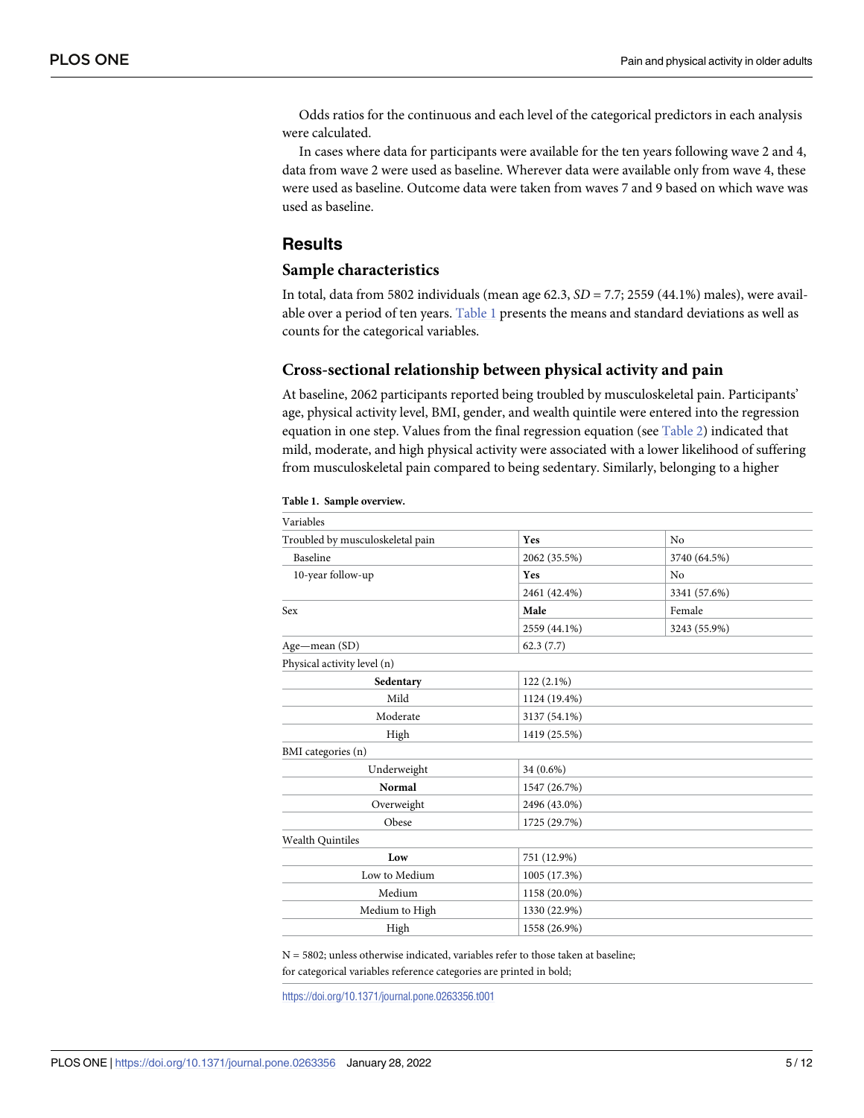<span id="page-4-0"></span>Odds ratios for the continuous and each level of the categorical predictors in each analysis were calculated.

In cases where data for participants were available for the ten years following wave 2 and 4, data from wave 2 were used as baseline. Wherever data were available only from wave 4, these were used as baseline. Outcome data were taken from waves 7 and 9 based on which wave was used as baseline.

#### **Results**

#### **Sample characteristics**

In total, data from 5802 individuals (mean age 62.3, *SD* = 7.7; 2559 (44.1%) males), were available over a period of ten years. Table 1 presents the means and standard deviations as well as counts for the categorical variables.

#### **Cross-sectional relationship between physical activity and pain**

At baseline, 2062 participants reported being troubled by musculoskeletal pain. Participants' age, physical activity level, BMI, gender, and wealth quintile were entered into the regression equation in one step. Values from the final regression equation (see [Table](#page-5-0) 2) indicated that mild, moderate, and high physical activity were associated with a lower likelihood of suffering from musculoskeletal pain compared to being sedentary. Similarly, belonging to a higher

| Yes          | N <sub>0</sub> |
|--------------|----------------|
| 2062 (35.5%) | 3740 (64.5%)   |
| Yes          | No             |
| 2461 (42.4%) | 3341 (57.6%)   |
| Male         | Female         |
| 2559 (44.1%) | 3243 (55.9%)   |
| 62.3(7.7)    |                |
|              |                |
| $122(2.1\%)$ |                |
| 1124 (19.4%) |                |
| 3137 (54.1%) |                |
| 1419 (25.5%) |                |
|              |                |
| 34 (0.6%)    |                |
| 1547 (26.7%) |                |
| 2496 (43.0%) |                |
| 1725 (29.7%) |                |
|              |                |
| 751 (12.9%)  |                |
| 1005 (17.3%) |                |
| 1158 (20.0%) |                |
| 1330 (22.9%) |                |
| 1558 (26.9%) |                |
|              |                |

#### **Table 1. Sample overview.**

 $N = 5802$ ; unless otherwise indicated, variables refer to those taken at baseline;

for categorical variables reference categories are printed in bold;

<https://doi.org/10.1371/journal.pone.0263356.t001>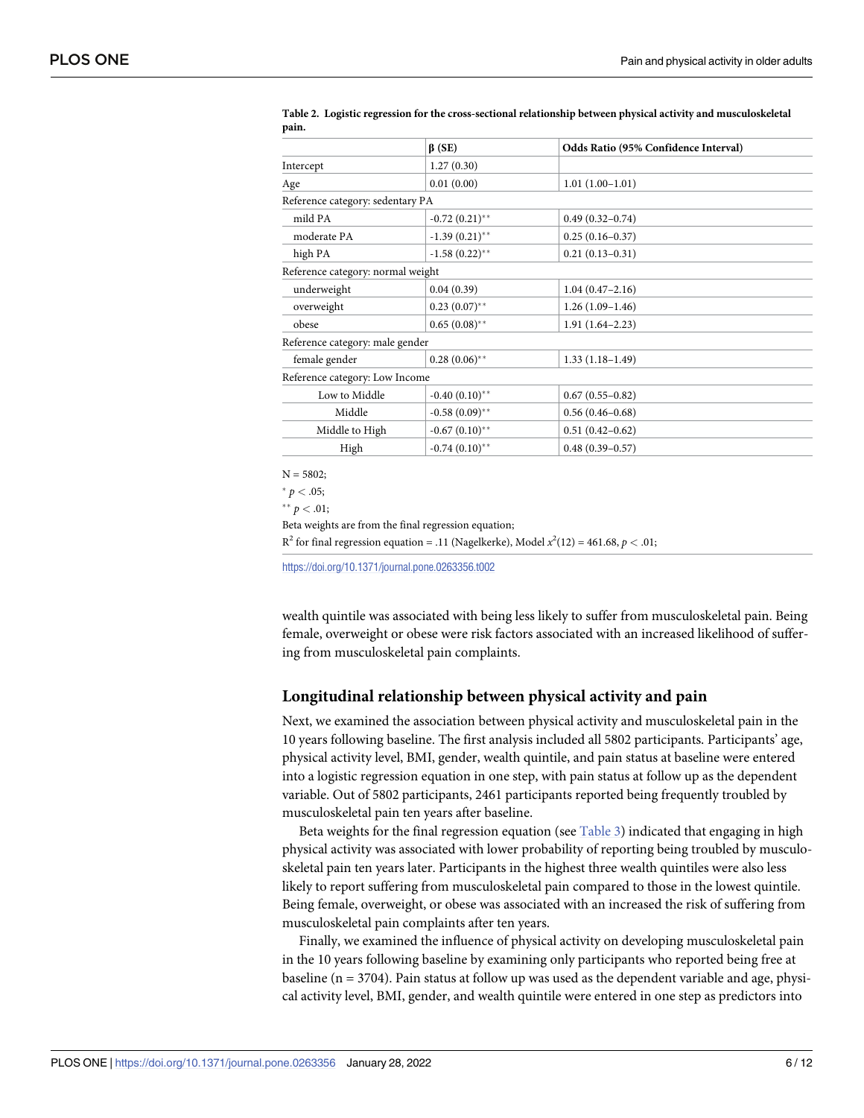|                                   | $\beta$ (SE)     | Odds Ratio (95% Confidence Interval) |
|-----------------------------------|------------------|--------------------------------------|
| Intercept                         | 1.27(0.30)       |                                      |
| Age                               | 0.01(0.00)       | $1.01(1.00-1.01)$                    |
| Reference category: sedentary PA  |                  |                                      |
| mild PA                           | $-0.72(0.21)$ ** | $0.49(0.32 - 0.74)$                  |
| moderate PA                       | $-1.39(0.21)$ ** | $0.25(0.16 - 0.37)$                  |
| high PA                           | $-1.58(0.22)$ ** | $0.21(0.13 - 0.31)$                  |
| Reference category: normal weight |                  |                                      |
| underweight                       | 0.04(0.39)       | $1.04(0.47 - 2.16)$                  |
| overweight                        | $0.23(0.07)$ **  | $1.26(1.09-1.46)$                    |
| obese                             | $0.65(0.08)$ **  | $1.91(1.64 - 2.23)$                  |
| Reference category: male gender   |                  |                                      |
| female gender                     | $0.28(0.06)$ **  | $1.33(1.18-1.49)$                    |
| Reference category: Low Income    |                  |                                      |
| Low to Middle                     | $-0.40(0.10)$ ** | $0.67(0.55 - 0.82)$                  |
| Middle                            | $-0.58(0.09)$ ** | $0.56(0.46 - 0.68)$                  |
| Middle to High                    | $-0.67(0.10)$ ** | $0.51(0.42 - 0.62)$                  |
| High                              | $-0.74(0.10)$ ** | $0.48(0.39 - 0.57)$                  |

<span id="page-5-0"></span>**[Table](#page-4-0) 2. Logistic regression for the cross-sectional relationship between physical activity and musculoskeletal pain.**

 $* p < .05;$ 

 $*$ <sup>\*</sup> *p* < .01;

Beta weights are from the final regression equation;

 $R^2$  for final regression equation = .11 (Nagelkerke), Model  $x^2(12) = 461.68$ ,  $p < .01$ ;

<https://doi.org/10.1371/journal.pone.0263356.t002>

wealth quintile was associated with being less likely to suffer from musculoskeletal pain. Being female, overweight or obese were risk factors associated with an increased likelihood of suffering from musculoskeletal pain complaints.

#### **Longitudinal relationship between physical activity and pain**

Next, we examined the association between physical activity and musculoskeletal pain in the 10 years following baseline. The first analysis included all 5802 participants. Participants' age, physical activity level, BMI, gender, wealth quintile, and pain status at baseline were entered into a logistic regression equation in one step, with pain status at follow up as the dependent variable. Out of 5802 participants, 2461 participants reported being frequently troubled by musculoskeletal pain ten years after baseline.

Beta weights for the final regression equation (see [Table](#page-6-0) 3) indicated that engaging in high physical activity was associated with lower probability of reporting being troubled by musculoskeletal pain ten years later. Participants in the highest three wealth quintiles were also less likely to report suffering from musculoskeletal pain compared to those in the lowest quintile. Being female, overweight, or obese was associated with an increased the risk of suffering from musculoskeletal pain complaints after ten years.

Finally, we examined the influence of physical activity on developing musculoskeletal pain in the 10 years following baseline by examining only participants who reported being free at baseline (n = 3704). Pain status at follow up was used as the dependent variable and age, physical activity level, BMI, gender, and wealth quintile were entered in one step as predictors into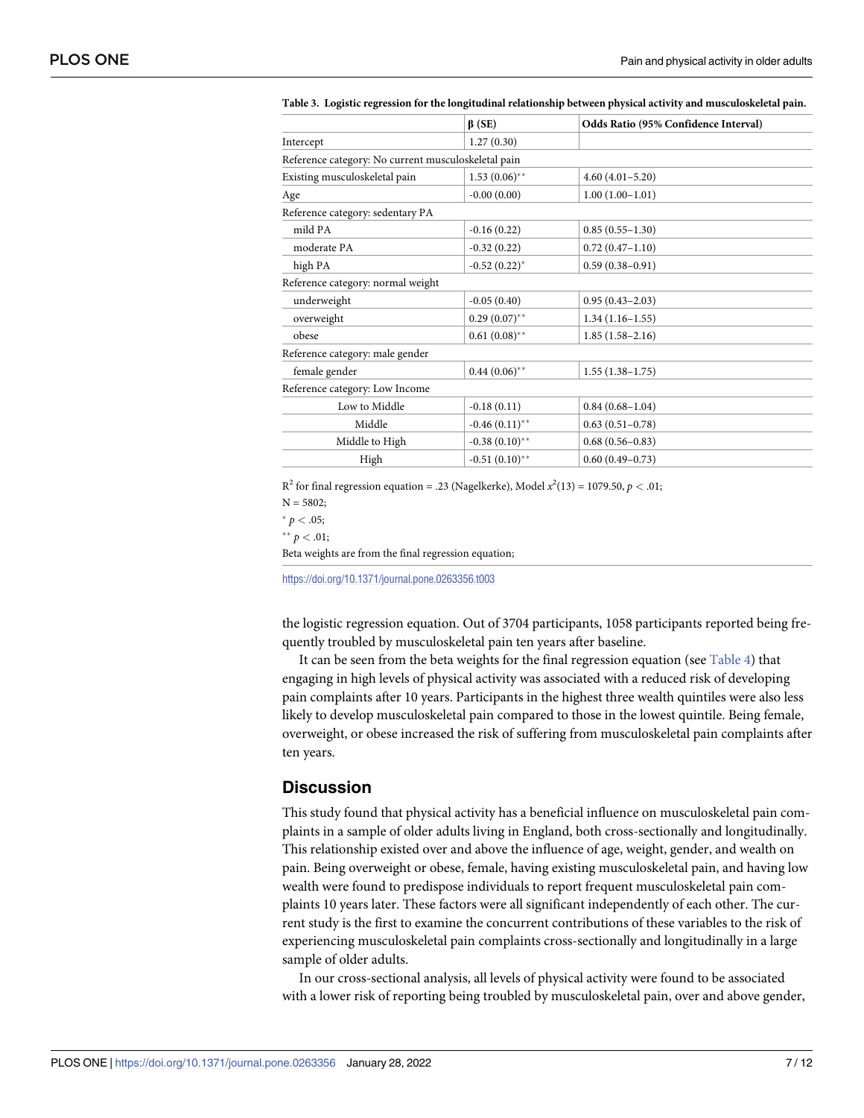|                                                     | $\beta$ (SE)      | Odds Ratio (95% Confidence Interval) |
|-----------------------------------------------------|-------------------|--------------------------------------|
| Intercept                                           | 1.27(0.30)        |                                      |
| Reference category: No current musculoskeletal pain |                   |                                      |
| Existing musculoskeletal pain                       | $1.53(0.06)$ **   | $4.60(4.01 - 5.20)$                  |
| Age                                                 | $-0.00(0.00)$     | $1.00(1.00-1.01)$                    |
| Reference category: sedentary PA                    |                   |                                      |
| mild PA                                             | $-0.16(0.22)$     | $0.85(0.55-1.30)$                    |
| moderate PA                                         | $-0.32(0.22)$     | $0.72(0.47 - 1.10)$                  |
| high PA                                             | $-0.52(0.22)^{*}$ | $0.59(0.38 - 0.91)$                  |
| Reference category: normal weight                   |                   |                                      |
| underweight                                         | $-0.05(0.40)$     | $0.95(0.43 - 2.03)$                  |
| overweight                                          | $0.29(0.07)$ **   | $1.34(1.16-1.55)$                    |
| obese                                               | $0.61~(0.08)$ **  | $1.85(1.58-2.16)$                    |
| Reference category: male gender                     |                   |                                      |
| female gender                                       | $0.44~(0.06)$ **  | $1.55(1.38-1.75)$                    |
| Reference category: Low Income                      |                   |                                      |
| Low to Middle                                       | $-0.18(0.11)$     | $0.84(0.68 - 1.04)$                  |
| Middle                                              | $-0.46(0.11)$ **  | $0.63(0.51 - 0.78)$                  |
| Middle to High                                      | $-0.38(0.10)$ **  | $0.68(0.56 - 0.83)$                  |
| High                                                | $-0.51(0.10)$ **  | $0.60(0.49 - 0.73)$                  |
|                                                     |                   |                                      |

<span id="page-6-0"></span>**[Table](#page-5-0) 3. Logistic regression for the longitudinal relationship between physical activity and musculoskeletal pain.**

 $R^2$  for final regression equation = .23 (Nagelkerke), Model  $x^2(13) = 1079.50, p < .01;$  $N = 5802;$ 

 $p < .05;$ 

 $*$ <sup>\*</sup>  $p$  < .01;

Beta weights are from the final regression equation;

<https://doi.org/10.1371/journal.pone.0263356.t003>

the logistic regression equation. Out of 3704 participants, 1058 participants reported being frequently troubled by musculoskeletal pain ten years after baseline.

It can be seen from the beta weights for the final regression equation (see [Table](#page-7-0)  $4$ ) that engaging in high levels of physical activity was associated with a reduced risk of developing pain complaints after 10 years. Participants in the highest three wealth quintiles were also less likely to develop musculoskeletal pain compared to those in the lowest quintile. Being female, overweight, or obese increased the risk of suffering from musculoskeletal pain complaints after ten years.

#### **Discussion**

This study found that physical activity has a beneficial influence on musculoskeletal pain complaints in a sample of older adults living in England, both cross-sectionally and longitudinally. This relationship existed over and above the influence of age, weight, gender, and wealth on pain. Being overweight or obese, female, having existing musculoskeletal pain, and having low wealth were found to predispose individuals to report frequent musculoskeletal pain complaints 10 years later. These factors were all significant independently of each other. The current study is the first to examine the concurrent contributions of these variables to the risk of experiencing musculoskeletal pain complaints cross-sectionally and longitudinally in a large sample of older adults.

In our cross-sectional analysis, all levels of physical activity were found to be associated with a lower risk of reporting being troubled by musculoskeletal pain, over and above gender,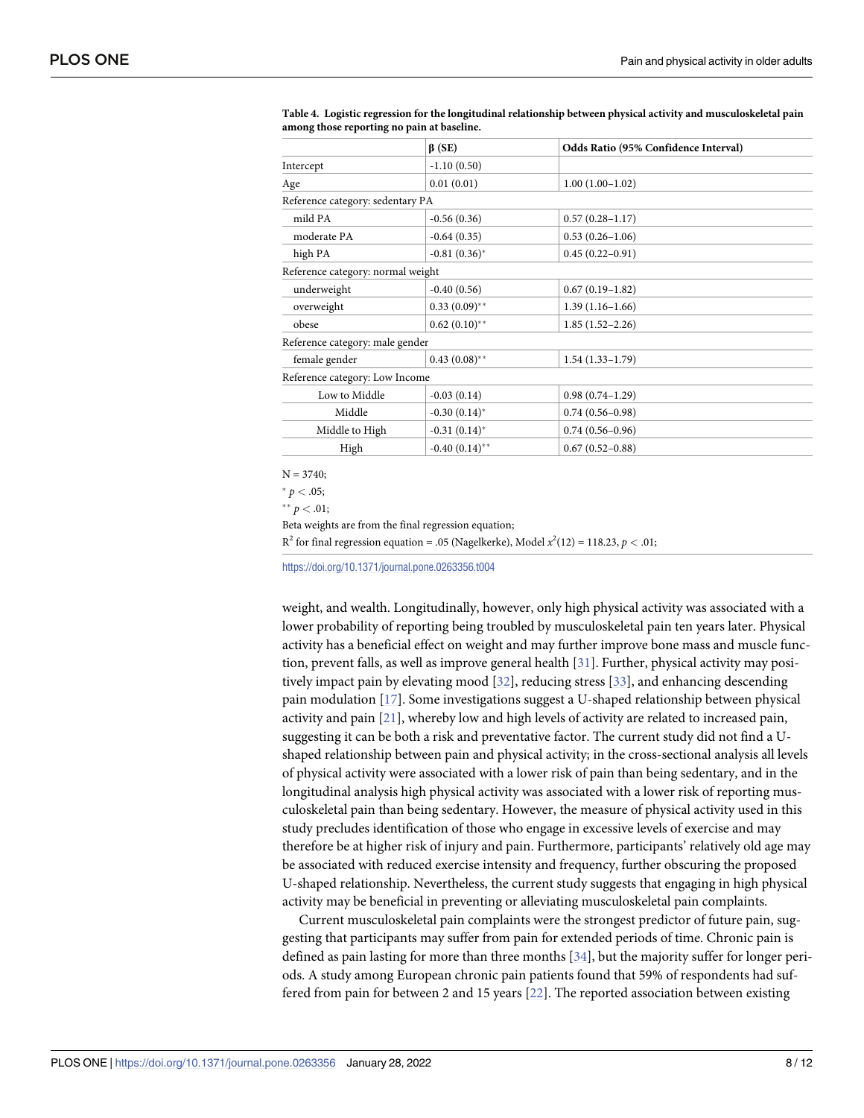|                                   | $\beta$ (SE)      | Odds Ratio (95% Confidence Interval) |
|-----------------------------------|-------------------|--------------------------------------|
| Intercept                         | $-1.10(0.50)$     |                                      |
| Age                               | 0.01(0.01)        | $1.00(1.00-1.02)$                    |
| Reference category: sedentary PA  |                   |                                      |
| mild PA                           | $-0.56(0.36)$     | $0.57(0.28 - 1.17)$                  |
| moderate PA                       | $-0.64(0.35)$     | $0.53(0.26 - 1.06)$                  |
| high PA                           | $-0.81(0.36)^*$   | $0.45(0.22 - 0.91)$                  |
| Reference category: normal weight |                   |                                      |
| underweight                       | $-0.40(0.56)$     | $0.67(0.19-1.82)$                    |
| overweight                        | $0.33(0.09)$ **   | $1.39(1.16-1.66)$                    |
| obese                             | $0.62(0.10)$ **   | $1.85(1.52 - 2.26)$                  |
| Reference category: male gender   |                   |                                      |
| female gender                     | $0.43(0.08)$ **   | $1.54(1.33 - 1.79)$                  |
| Reference category: Low Income    |                   |                                      |
| Low to Middle                     | $-0.03(0.14)$     | $0.98(0.74 - 1.29)$                  |
| Middle                            | $-0.30(0.14)^{*}$ | $0.74(0.56 - 0.98)$                  |
| Middle to High                    | $-0.31(0.14)$ *   | $0.74(0.56 - 0.96)$                  |
| High                              | $-0.40(0.14)$ **  | $0.67(0.52 - 0.88)$                  |
|                                   |                   |                                      |

<span id="page-7-0"></span>**[Table](#page-6-0) 4. Logistic regression for the longitudinal relationship between physical activity and musculoskeletal pain among those reporting no pain at baseline.**

 $N = 3740$ ;

 $* p < .05;$ 

 $*$ <sup>\*</sup> *p* < .01;

Beta weights are from the final regression equation;

 $R^2$  for final regression equation = .05 (Nagelkerke), Model  $x^2(12) = 118.23$ ,  $p < .01$ ;

<https://doi.org/10.1371/journal.pone.0263356.t004>

weight, and wealth. Longitudinally, however, only high physical activity was associated with a lower probability of reporting being troubled by musculoskeletal pain ten years later. Physical activity has a beneficial effect on weight and may further improve bone mass and muscle function, prevent falls, as well as improve general health [\[31\]](#page-11-0). Further, physical activity may positively impact pain by elevating mood [\[32\]](#page-11-0), reducing stress [[33](#page-11-0)], and enhancing descending pain modulation [\[17\]](#page-10-0). Some investigations suggest a U-shaped relationship between physical activity and pain [[21](#page-10-0)], whereby low and high levels of activity are related to increased pain, suggesting it can be both a risk and preventative factor. The current study did not find a Ushaped relationship between pain and physical activity; in the cross-sectional analysis all levels of physical activity were associated with a lower risk of pain than being sedentary, and in the longitudinal analysis high physical activity was associated with a lower risk of reporting musculoskeletal pain than being sedentary. However, the measure of physical activity used in this study precludes identification of those who engage in excessive levels of exercise and may therefore be at higher risk of injury and pain. Furthermore, participants' relatively old age may be associated with reduced exercise intensity and frequency, further obscuring the proposed U-shaped relationship. Nevertheless, the current study suggests that engaging in high physical activity may be beneficial in preventing or alleviating musculoskeletal pain complaints.

Current musculoskeletal pain complaints were the strongest predictor of future pain, suggesting that participants may suffer from pain for extended periods of time. Chronic pain is defined as pain lasting for more than three months [[34](#page-11-0)], but the majority suffer for longer periods. A study among European chronic pain patients found that 59% of respondents had suffered from pain for between 2 and 15 years [[22](#page-10-0)]. The reported association between existing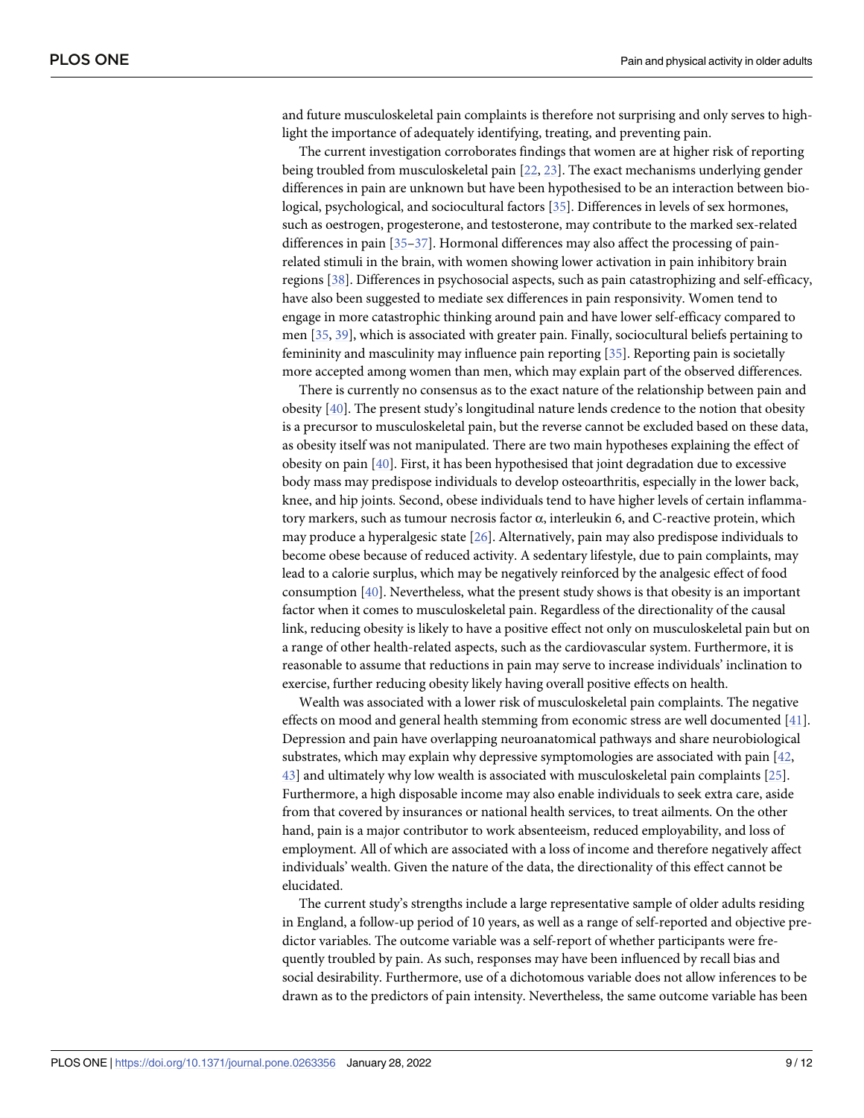<span id="page-8-0"></span>and future musculoskeletal pain complaints is therefore not surprising and only serves to highlight the importance of adequately identifying, treating, and preventing pain.

The current investigation corroborates findings that women are at higher risk of reporting being troubled from musculoskeletal pain [[22](#page-10-0), [23](#page-10-0)]. The exact mechanisms underlying gender differences in pain are unknown but have been hypothesised to be an interaction between biological, psychological, and sociocultural factors [[35](#page-11-0)]. Differences in levels of sex hormones, such as oestrogen, progesterone, and testosterone, may contribute to the marked sex-related differences in pain [\[35–37](#page-11-0)]. Hormonal differences may also affect the processing of painrelated stimuli in the brain, with women showing lower activation in pain inhibitory brain regions [\[38\]](#page-11-0). Differences in psychosocial aspects, such as pain catastrophizing and self-efficacy, have also been suggested to mediate sex differences in pain responsivity. Women tend to engage in more catastrophic thinking around pain and have lower self-efficacy compared to men [[35](#page-11-0), [39\]](#page-11-0), which is associated with greater pain. Finally, sociocultural beliefs pertaining to femininity and masculinity may influence pain reporting [[35](#page-11-0)]. Reporting pain is societally more accepted among women than men, which may explain part of the observed differences.

There is currently no consensus as to the exact nature of the relationship between pain and obesity [[40](#page-11-0)]. The present study's longitudinal nature lends credence to the notion that obesity is a precursor to musculoskeletal pain, but the reverse cannot be excluded based on these data, as obesity itself was not manipulated. There are two main hypotheses explaining the effect of obesity on pain [\[40\]](#page-11-0). First, it has been hypothesised that joint degradation due to excessive body mass may predispose individuals to develop osteoarthritis, especially in the lower back, knee, and hip joints. Second, obese individuals tend to have higher levels of certain inflammatory markers, such as tumour necrosis factor α, interleukin 6, and C-reactive protein, which may produce a hyperalgesic state [\[26\]](#page-10-0). Alternatively, pain may also predispose individuals to become obese because of reduced activity. A sedentary lifestyle, due to pain complaints, may lead to a calorie surplus, which may be negatively reinforced by the analgesic effect of food consumption [[40](#page-11-0)]. Nevertheless, what the present study shows is that obesity is an important factor when it comes to musculoskeletal pain. Regardless of the directionality of the causal link, reducing obesity is likely to have a positive effect not only on musculoskeletal pain but on a range of other health-related aspects, such as the cardiovascular system. Furthermore, it is reasonable to assume that reductions in pain may serve to increase individuals' inclination to exercise, further reducing obesity likely having overall positive effects on health.

Wealth was associated with a lower risk of musculoskeletal pain complaints. The negative effects on mood and general health stemming from economic stress are well documented [\[41\]](#page-11-0). Depression and pain have overlapping neuroanatomical pathways and share neurobiological substrates, which may explain why depressive symptomologies are associated with pain [\[42,](#page-11-0) [43\]](#page-11-0) and ultimately why low wealth is associated with musculoskeletal pain complaints [[25](#page-10-0)]. Furthermore, a high disposable income may also enable individuals to seek extra care, aside from that covered by insurances or national health services, to treat ailments. On the other hand, pain is a major contributor to work absenteeism, reduced employability, and loss of employment. All of which are associated with a loss of income and therefore negatively affect individuals' wealth. Given the nature of the data, the directionality of this effect cannot be elucidated.

The current study's strengths include a large representative sample of older adults residing in England, a follow-up period of 10 years, as well as a range of self-reported and objective predictor variables. The outcome variable was a self-report of whether participants were frequently troubled by pain. As such, responses may have been influenced by recall bias and social desirability. Furthermore, use of a dichotomous variable does not allow inferences to be drawn as to the predictors of pain intensity. Nevertheless, the same outcome variable has been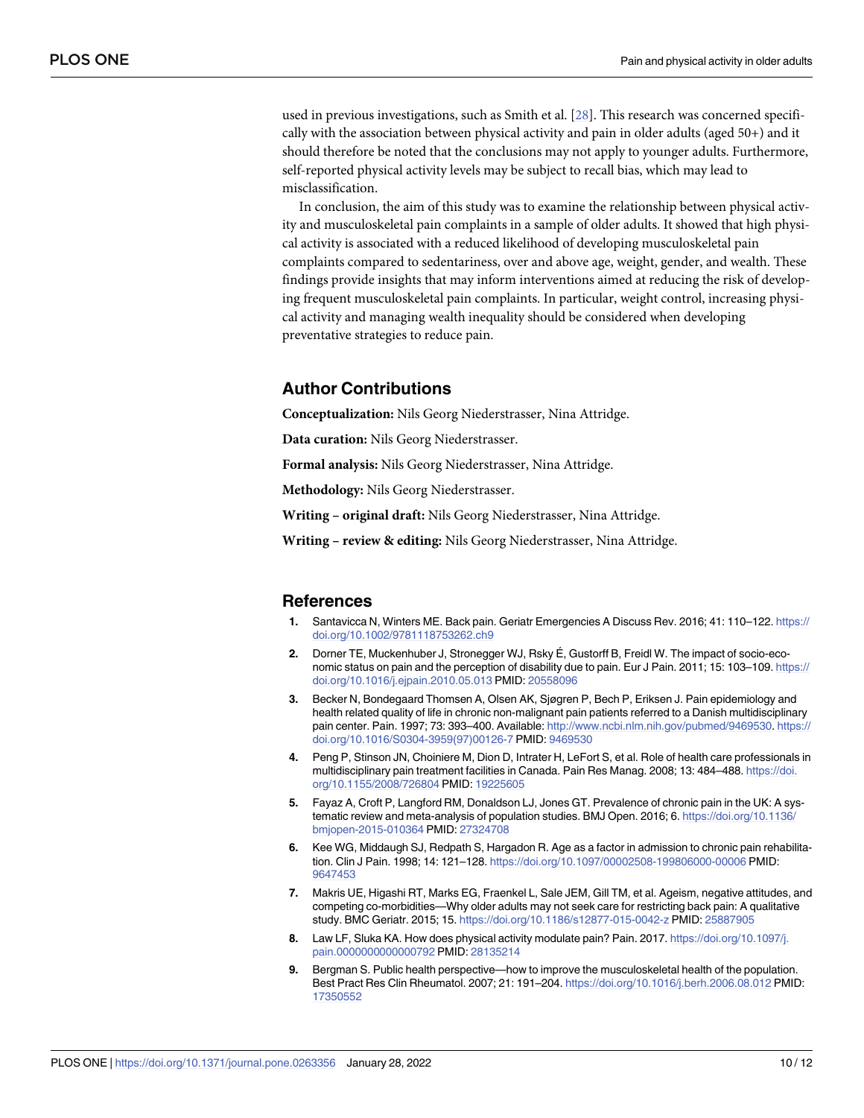<span id="page-9-0"></span>used in previous investigations, such as Smith et al. [[28](#page-10-0)]. This research was concerned specifically with the association between physical activity and pain in older adults (aged 50+) and it should therefore be noted that the conclusions may not apply to younger adults. Furthermore, self-reported physical activity levels may be subject to recall bias, which may lead to misclassification.

In conclusion, the aim of this study was to examine the relationship between physical activity and musculoskeletal pain complaints in a sample of older adults. It showed that high physical activity is associated with a reduced likelihood of developing musculoskeletal pain complaints compared to sedentariness, over and above age, weight, gender, and wealth. These findings provide insights that may inform interventions aimed at reducing the risk of developing frequent musculoskeletal pain complaints. In particular, weight control, increasing physical activity and managing wealth inequality should be considered when developing preventative strategies to reduce pain.

#### **Author Contributions**

**Conceptualization:** Nils Georg Niederstrasser, Nina Attridge.

**Data curation:** Nils Georg Niederstrasser.

**Formal analysis:** Nils Georg Niederstrasser, Nina Attridge.

**Methodology:** Nils Georg Niederstrasser.

**Writing – original draft:** Nils Georg Niederstrasser, Nina Attridge.

**Writing – review & editing:** Nils Georg Niederstrasser, Nina Attridge.

#### **References**

- **[1](#page-0-0).** Santavicca N, Winters ME. Back pain. Geriatr Emergencies A Discuss Rev. 2016; 41: 110–122. [https://](https://doi.org/10.1002/9781118753262.ch9) [doi.org/10.1002/9781118753262.ch9](https://doi.org/10.1002/9781118753262.ch9)
- **[2](#page-0-0).** Dorner TE, Muckenhuber J, Stronegger WJ, Rsky E´, Gustorff B, Freidl W. The impact of socio-economic status on pain and the perception of disability due to pain. Eur J Pain. 2011; 15: 103–109. [https://](https://doi.org/10.1016/j.ejpain.2010.05.013) [doi.org/10.1016/j.ejpain.2010.05.013](https://doi.org/10.1016/j.ejpain.2010.05.013) PMID: [20558096](http://www.ncbi.nlm.nih.gov/pubmed/20558096)
- **[3](#page-1-0).** Becker N, Bondegaard Thomsen A, Olsen AK, Sjøgren P, Bech P, Eriksen J. Pain epidemiology and health related quality of life in chronic non-malignant pain patients referred to a Danish multidisciplinary pain center. Pain. 1997; 73: 393–400. Available: <http://www.ncbi.nlm.nih.gov/pubmed/9469530>. [https://](https://doi.org/10.1016/S0304-3959%2897%2900126-7) [doi.org/10.1016/S0304-3959\(97\)00126-7](https://doi.org/10.1016/S0304-3959%2897%2900126-7) PMID: [9469530](http://www.ncbi.nlm.nih.gov/pubmed/9469530)
- **[4](#page-1-0).** Peng P, Stinson JN, Choiniere M, Dion D, Intrater H, LeFort S, et al. Role of health care professionals in multidisciplinary pain treatment facilities in Canada. Pain Res Manag. 2008; 13: 484–488. [https://doi.](https://doi.org/10.1155/2008/726804) [org/10.1155/2008/726804](https://doi.org/10.1155/2008/726804) PMID: [19225605](http://www.ncbi.nlm.nih.gov/pubmed/19225605)
- **[5](#page-1-0).** Fayaz A, Croft P, Langford RM, Donaldson LJ, Jones GT. Prevalence of chronic pain in the UK: A systematic review and meta-analysis of population studies. BMJ Open. 2016; 6. [https://doi.org/10.1136/](https://doi.org/10.1136/bmjopen-2015-010364) [bmjopen-2015-010364](https://doi.org/10.1136/bmjopen-2015-010364) PMID: [27324708](http://www.ncbi.nlm.nih.gov/pubmed/27324708)
- **[6](#page-1-0).** Kee WG, Middaugh SJ, Redpath S, Hargadon R. Age as a factor in admission to chronic pain rehabilitation. Clin J Pain. 1998; 14: 121–128. <https://doi.org/10.1097/00002508-199806000-00006> PMID: [9647453](http://www.ncbi.nlm.nih.gov/pubmed/9647453)
- **[7](#page-1-0).** Makris UE, Higashi RT, Marks EG, Fraenkel L, Sale JEM, Gill TM, et al. Ageism, negative attitudes, and competing co-morbidities—Why older adults may not seek care for restricting back pain: A qualitative study. BMC Geriatr. 2015; 15. <https://doi.org/10.1186/s12877-015-0042-z> PMID: [25887905](http://www.ncbi.nlm.nih.gov/pubmed/25887905)
- **[8](#page-1-0).** Law LF, Sluka KA. How does physical activity modulate pain? Pain. 2017. [https://doi.org/10.1097/j.](https://doi.org/10.1097/j.pain.0000000000000792) [pain.0000000000000792](https://doi.org/10.1097/j.pain.0000000000000792) PMID: [28135214](http://www.ncbi.nlm.nih.gov/pubmed/28135214)
- **[9](#page-1-0).** Bergman S. Public health perspective—how to improve the musculoskeletal health of the population. Best Pract Res Clin Rheumatol. 2007; 21: 191–204. <https://doi.org/10.1016/j.berh.2006.08.012> PMID: [17350552](http://www.ncbi.nlm.nih.gov/pubmed/17350552)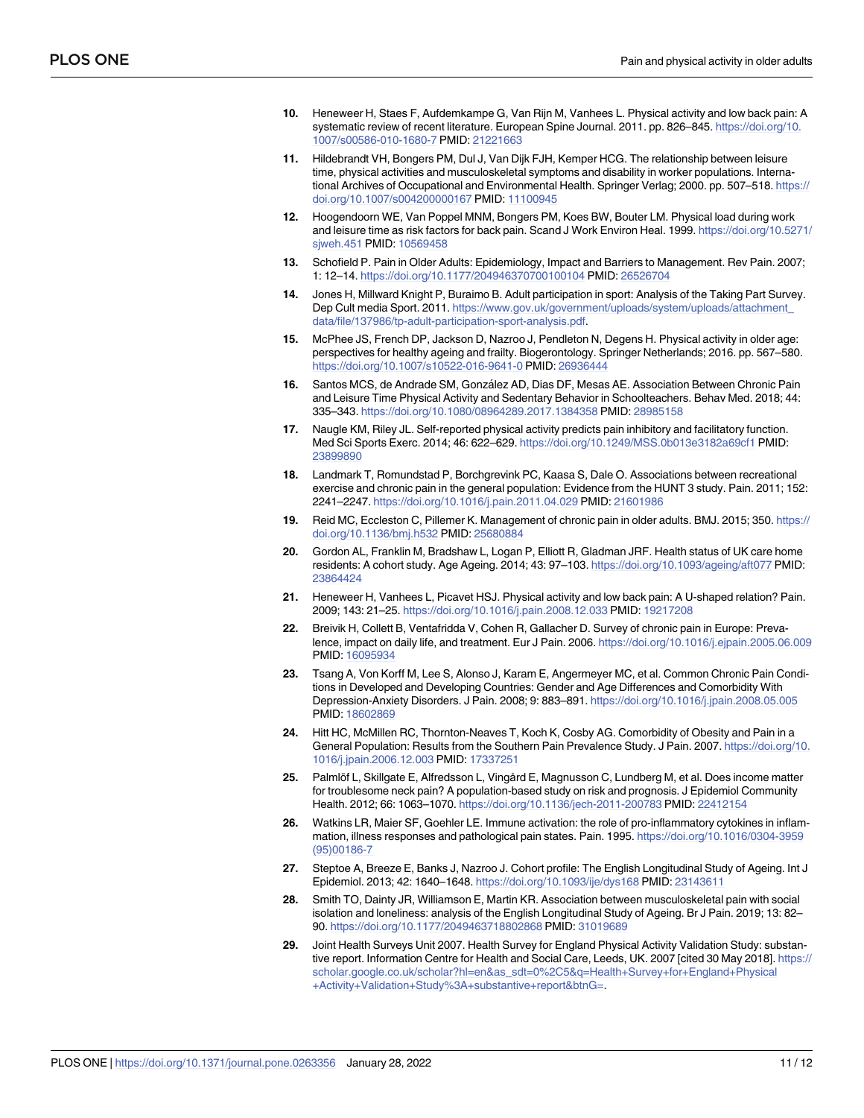- <span id="page-10-0"></span>**[10](#page-1-0).** Heneweer H, Staes F, Aufdemkampe G, Van Rijn M, Vanhees L. Physical activity and low back pain: A systematic review of recent literature. European Spine Journal. 2011. pp. 826–845. [https://doi.org/10.](https://doi.org/10.1007/s00586-010-1680-7) [1007/s00586-010-1680-7](https://doi.org/10.1007/s00586-010-1680-7) PMID: [21221663](http://www.ncbi.nlm.nih.gov/pubmed/21221663)
- **11.** Hildebrandt VH, Bongers PM, Dul J, Van Dijk FJH, Kemper HCG. The relationship between leisure time, physical activities and musculoskeletal symptoms and disability in worker populations. International Archives of Occupational and Environmental Health. Springer Verlag; 2000. pp. 507-518. [https://](https://doi.org/10.1007/s004200000167) [doi.org/10.1007/s004200000167](https://doi.org/10.1007/s004200000167) PMID: [11100945](http://www.ncbi.nlm.nih.gov/pubmed/11100945)
- **[12](#page-1-0).** Hoogendoorn WE, Van Poppel MNM, Bongers PM, Koes BW, Bouter LM. Physical load during work and leisure time as risk factors for back pain. Scand J Work Environ Heal. 1999. [https://doi.org/10.5271/](https://doi.org/10.5271/sjweh.451) [sjweh.451](https://doi.org/10.5271/sjweh.451) PMID: [10569458](http://www.ncbi.nlm.nih.gov/pubmed/10569458)
- **[13](#page-1-0).** Schofield P. Pain in Older Adults: Epidemiology, Impact and Barriers to Management. Rev Pain. 2007; 1: 12–14. <https://doi.org/10.1177/204946370700100104> PMID: [26526704](http://www.ncbi.nlm.nih.gov/pubmed/26526704)
- **[14](#page-1-0).** Jones H, Millward Knight P, Buraimo B. Adult participation in sport: Analysis of the Taking Part Survey. Dep Cult media Sport. 2011. [https://www.gov.uk/government/uploads/system/uploads/attachment\\_](https://www.gov.uk/government/uploads/system/uploads/attachment_data/file/137986/tp-adult-participation-sport-analysis.pdf) [data/file/137986/tp-adult-participation-sport-analysis.pdf.](https://www.gov.uk/government/uploads/system/uploads/attachment_data/file/137986/tp-adult-participation-sport-analysis.pdf)
- **[15](#page-1-0).** McPhee JS, French DP, Jackson D, Nazroo J, Pendleton N, Degens H. Physical activity in older age: perspectives for healthy ageing and frailty. Biogerontology. Springer Netherlands; 2016. pp. 567–580. <https://doi.org/10.1007/s10522-016-9641-0> PMID: [26936444](http://www.ncbi.nlm.nih.gov/pubmed/26936444)
- **[16](#page-1-0).** Santos MCS, de Andrade SM, González AD, Dias DF, Mesas AE, Association Between Chronic Pain and Leisure Time Physical Activity and Sedentary Behavior in Schoolteachers. Behav Med. 2018; 44: 335–343. <https://doi.org/10.1080/08964289.2017.1384358> PMID: [28985158](http://www.ncbi.nlm.nih.gov/pubmed/28985158)
- **[17](#page-7-0).** Naugle KM, Riley JL. Self-reported physical activity predicts pain inhibitory and facilitatory function. Med Sci Sports Exerc. 2014; 46: 622–629. <https://doi.org/10.1249/MSS.0b013e3182a69cf1> PMID: [23899890](http://www.ncbi.nlm.nih.gov/pubmed/23899890)
- **[18](#page-1-0).** Landmark T, Romundstad P, Borchgrevink PC, Kaasa S, Dale O. Associations between recreational exercise and chronic pain in the general population: Evidence from the HUNT 3 study. Pain. 2011; 152: 2241–2247. <https://doi.org/10.1016/j.pain.2011.04.029> PMID: [21601986](http://www.ncbi.nlm.nih.gov/pubmed/21601986)
- **[19](#page-1-0).** Reid MC, Eccleston C, Pillemer K. Management of chronic pain in older adults. BMJ. 2015; 350. [https://](https://doi.org/10.1136/bmj.h532) [doi.org/10.1136/bmj.h532](https://doi.org/10.1136/bmj.h532) PMID: [25680884](http://www.ncbi.nlm.nih.gov/pubmed/25680884)
- **[20](#page-1-0).** Gordon AL, Franklin M, Bradshaw L, Logan P, Elliott R, Gladman JRF. Health status of UK care home residents: A cohort study. Age Ageing. 2014; 43: 97–103. <https://doi.org/10.1093/ageing/aft077> PMID: [23864424](http://www.ncbi.nlm.nih.gov/pubmed/23864424)
- **[21](#page-1-0).** Heneweer H, Vanhees L, Picavet HSJ. Physical activity and low back pain: A U-shaped relation? Pain. 2009; 143: 21–25. <https://doi.org/10.1016/j.pain.2008.12.033> PMID: [19217208](http://www.ncbi.nlm.nih.gov/pubmed/19217208)
- **[22](#page-8-0).** Breivik H, Collett B, Ventafridda V, Cohen R, Gallacher D. Survey of chronic pain in Europe: Prevalence, impact on daily life, and treatment. Eur J Pain. 2006. <https://doi.org/10.1016/j.ejpain.2005.06.009> PMID: [16095934](http://www.ncbi.nlm.nih.gov/pubmed/16095934)
- **[23](#page-8-0).** Tsang A, Von Korff M, Lee S, Alonso J, Karam E, Angermeyer MC, et al. Common Chronic Pain Conditions in Developed and Developing Countries: Gender and Age Differences and Comorbidity With Depression-Anxiety Disorders. J Pain. 2008; 9: 883–891. <https://doi.org/10.1016/j.jpain.2008.05.005> PMID: [18602869](http://www.ncbi.nlm.nih.gov/pubmed/18602869)
- **[24](#page-1-0).** Hitt HC, McMillen RC, Thornton-Neaves T, Koch K, Cosby AG. Comorbidity of Obesity and Pain in a General Population: Results from the Southern Pain Prevalence Study. J Pain. 2007. [https://doi.org/10.](https://doi.org/10.1016/j.jpain.2006.12.003) [1016/j.jpain.2006.12.003](https://doi.org/10.1016/j.jpain.2006.12.003) PMID: [17337251](http://www.ncbi.nlm.nih.gov/pubmed/17337251)
- [25](#page-1-0). Palmlöf L, Skillgate E, Alfredsson L, Vingård E, Magnusson C, Lundberg M, et al. Does income matter for troublesome neck pain? A population-based study on risk and prognosis. J Epidemiol Community Health. 2012; 66: 1063–1070. <https://doi.org/10.1136/jech-2011-200783> PMID: [22412154](http://www.ncbi.nlm.nih.gov/pubmed/22412154)
- **[26](#page-1-0).** Watkins LR, Maier SF, Goehler LE. Immune activation: the role of pro-inflammatory cytokines in inflammation, illness responses and pathological pain states. Pain. 1995. [https://doi.org/10.1016/0304-3959](https://doi.org/10.1016/0304-3959%2895%2900186-7) [\(95\)00186-7](https://doi.org/10.1016/0304-3959%2895%2900186-7)
- **[27](#page-2-0).** Steptoe A, Breeze E, Banks J, Nazroo J. Cohort profile: The English Longitudinal Study of Ageing. Int J Epidemiol. 2013; 42: 1640–1648. <https://doi.org/10.1093/ije/dys168> PMID: [23143611](http://www.ncbi.nlm.nih.gov/pubmed/23143611)
- **[28](#page-9-0).** Smith TO, Dainty JR, Williamson E, Martin KR. Association between musculoskeletal pain with social isolation and loneliness: analysis of the English Longitudinal Study of Ageing. Br J Pain. 2019; 13: 82– 90. <https://doi.org/10.1177/2049463718802868> PMID: [31019689](http://www.ncbi.nlm.nih.gov/pubmed/31019689)
- **[29](#page-2-0).** Joint Health Surveys Unit 2007. Health Survey for England Physical Activity Validation Study: substantive report. Information Centre for Health and Social Care, Leeds, UK. 2007 [cited 30 May 2018]. [https://](https://scholar.google.co.uk/scholar?hl=en&as_sdt=0%2C5&q=Health+Survey+for+England+Physical+Activity+Validation+Study%3A+substantive+report&btnG=) [scholar.google.co.uk/scholar?hl=en&as\\_sdt=0%2C5&q=Health+Survey+for+England+Physical](https://scholar.google.co.uk/scholar?hl=en&as_sdt=0%2C5&q=Health+Survey+for+England+Physical+Activity+Validation+Study%3A+substantive+report&btnG=) [+Activity+Validation+Study%3A+substantive+report&btnG=](https://scholar.google.co.uk/scholar?hl=en&as_sdt=0%2C5&q=Health+Survey+for+England+Physical+Activity+Validation+Study%3A+substantive+report&btnG=).